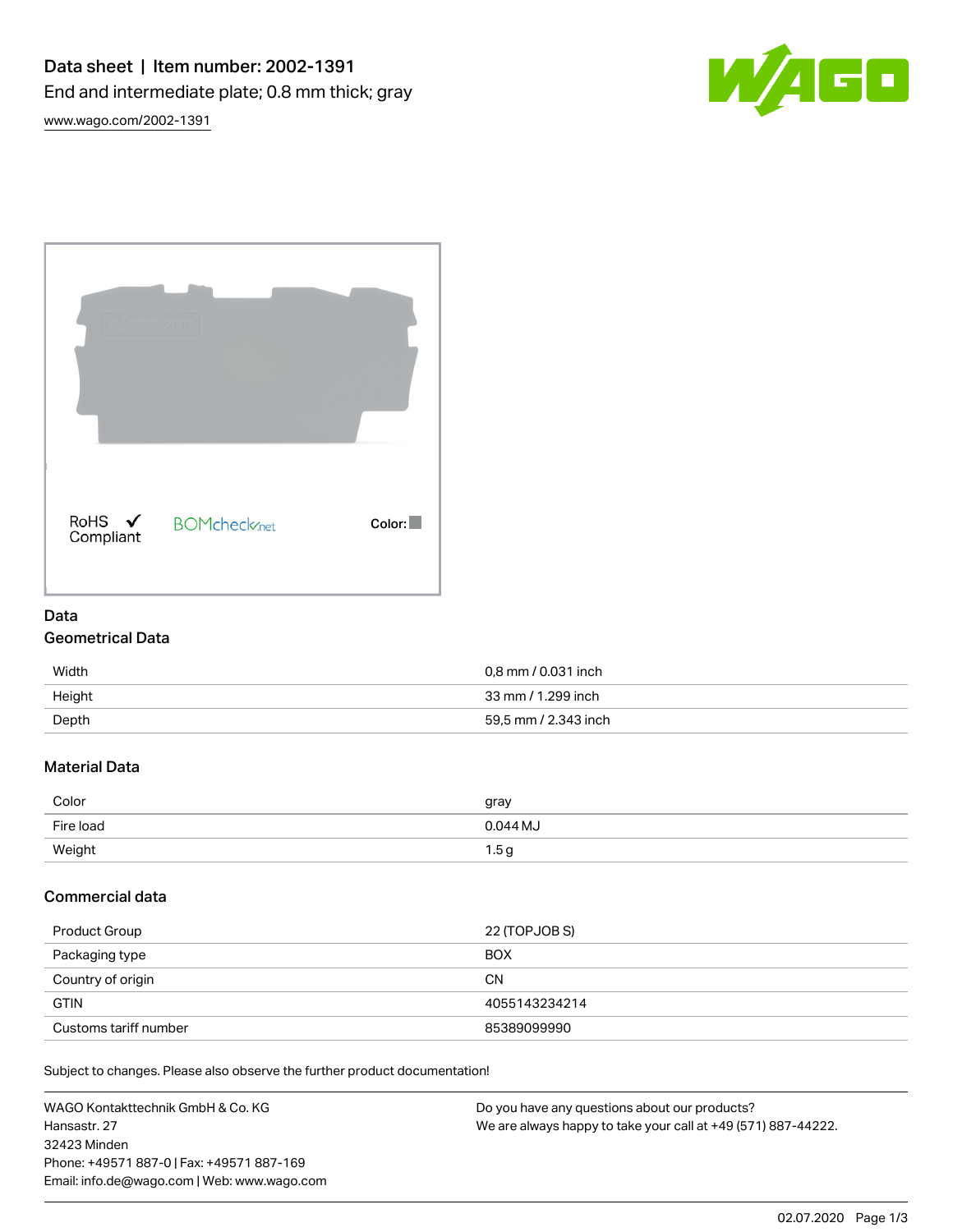

[www.wago.com/2002-1391](http://www.wago.com/2002-1391)

| RoHS ✔<br>Compliant | <b>BOMcheck</b> <sub>net</sub> | Color: |
|---------------------|--------------------------------|--------|

# Data Geometrical Data

# Width 0,8 mm / 0.031 inch Height 33 mm / 1.299 inch Depth 59,5 mm / 2.343 inch

# Material Data

| Color     | gray     |
|-----------|----------|
| Fire load | 0.044 MJ |
| Weight    | 1.5 g    |

# Commercial data

| Product Group         | 22 (TOPJOB S) |
|-----------------------|---------------|
| Packaging type        | <b>BOX</b>    |
| Country of origin     | <b>CN</b>     |
| <b>GTIN</b>           | 4055143234214 |
| Customs tariff number | 85389099990   |

Subject to changes. Please also observe the further product documentation!

| WAGO Kontakttechnik GmbH & Co. KG           | Do you have any questions about our products?                 |
|---------------------------------------------|---------------------------------------------------------------|
| Hansastr. 27                                | We are always happy to take your call at +49 (571) 887-44222. |
| 32423 Minden                                |                                                               |
| Phone: +49571 887-0   Fax: +49571 887-169   |                                                               |
| Email: info.de@wago.com   Web: www.wago.com |                                                               |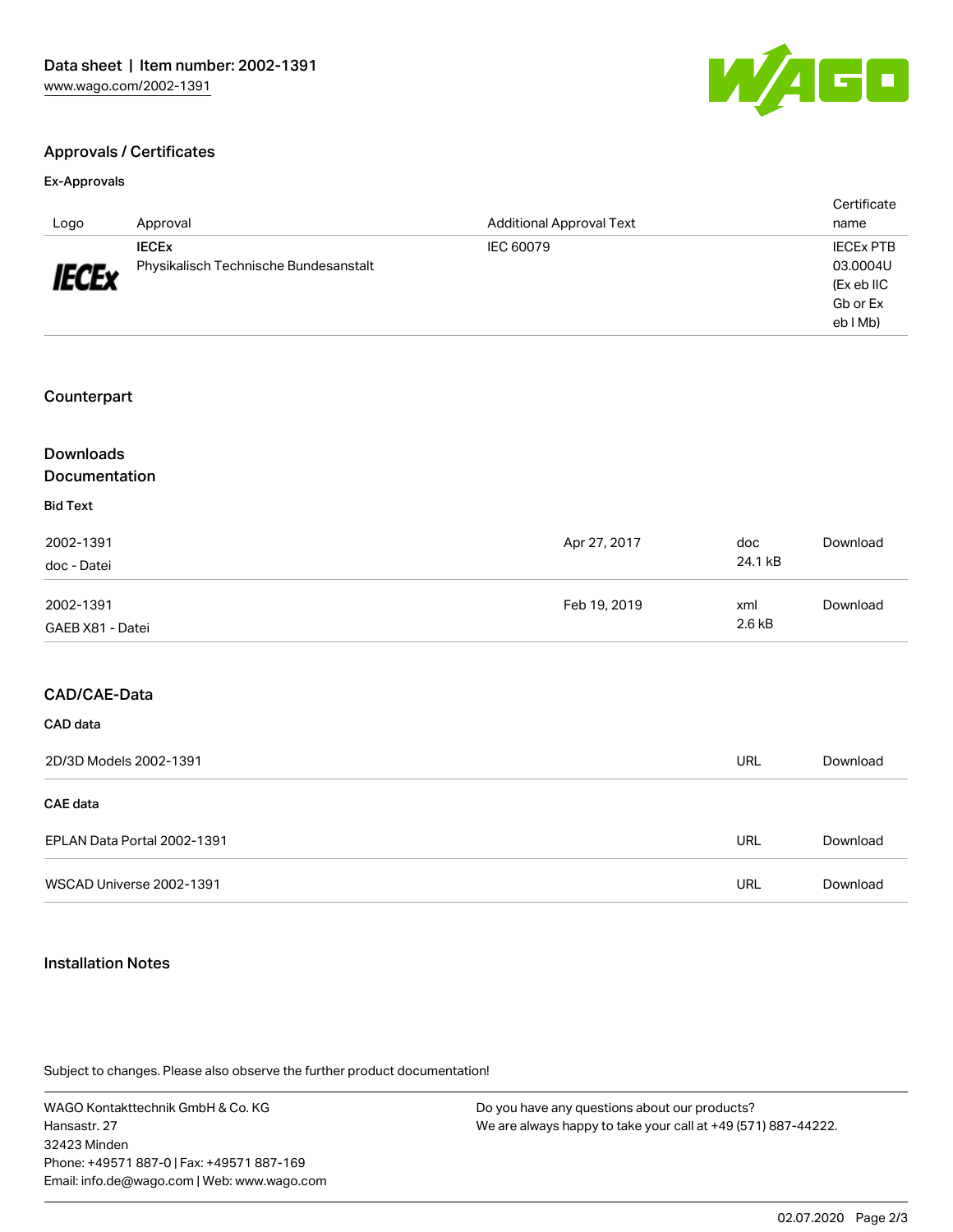

Certificate

## Approvals / Certificates

#### Ex-Approvals

| Logo                              | Approval                                              | <b>Additional Approval Text</b> |                | name                                                               |
|-----------------------------------|-------------------------------------------------------|---------------------------------|----------------|--------------------------------------------------------------------|
| <b>IECEx</b>                      | <b>IECEX</b><br>Physikalisch Technische Bundesanstalt | IEC 60079                       |                | <b>IECEX PTB</b><br>03.0004U<br>(Ex eb IIC<br>Gb or Ex<br>eb I Mb) |
| Counterpart                       |                                                       |                                 |                |                                                                    |
| <b>Downloads</b><br>Documentation |                                                       |                                 |                |                                                                    |
| <b>Bid Text</b>                   |                                                       |                                 |                |                                                                    |
| 2002-1391<br>doc - Datei          |                                                       | Apr 27, 2017                    | doc<br>24.1 kB | Download                                                           |
| 2002-1391<br>GAEB X81 - Datei     |                                                       | Feb 19, 2019                    | xml<br>2.6 kB  | Download                                                           |
| CAD/CAE-Data                      |                                                       |                                 |                |                                                                    |
| CAD data                          |                                                       |                                 |                |                                                                    |
|                                   | 2D/3D Models 2002-1391                                |                                 | <b>URL</b>     | Download                                                           |
| <b>CAE</b> data                   |                                                       |                                 |                |                                                                    |
|                                   | EPLAN Data Portal 2002-1391                           |                                 | <b>URL</b>     | Download                                                           |
|                                   | WSCAD Universe 2002-1391                              |                                 | <b>URL</b>     | Download                                                           |

#### Installation Notes

Subject to changes. Please also observe the further product documentation!

WAGO Kontakttechnik GmbH & Co. KG Hansastr. 27 32423 Minden Phone: +49571 887-0 | Fax: +49571 887-169 Email: info.de@wago.com | Web: www.wago.com

Do you have any questions about our products? We are always happy to take your call at +49 (571) 887-44222.